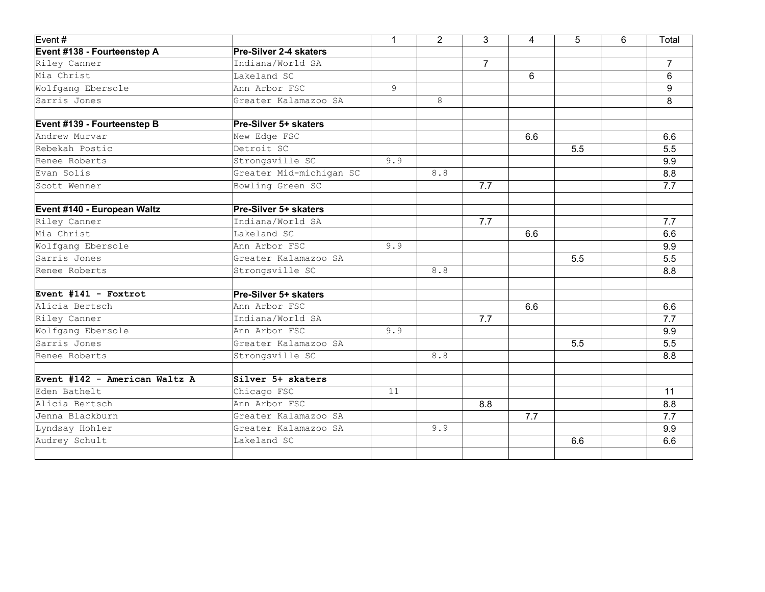| Event#                        |                         | $\mathbf{1}$ | $\overline{2}$ | 3              | 4   | 5   | 6 | Total          |
|-------------------------------|-------------------------|--------------|----------------|----------------|-----|-----|---|----------------|
| Event #138 - Fourteenstep A   | Pre-Silver 2-4 skaters  |              |                |                |     |     |   |                |
| Riley Canner                  | Indiana/World SA        |              |                | $\overline{7}$ |     |     |   | $\overline{7}$ |
| Mia Christ                    | Lakeland SC             |              |                |                | 6   |     |   | 6              |
| Wolfgang Ebersole             | Ann Arbor FSC           | 9            |                |                |     |     |   | 9              |
| Sarris Jones                  | Greater Kalamazoo SA    |              | 8              |                |     |     |   | 8              |
| Event #139 - Fourteenstep B   | Pre-Silver 5+ skaters   |              |                |                |     |     |   |                |
| Andrew Murvar                 | New Edge FSC            |              |                |                | 6.6 |     |   | 6.6            |
| Rebekah Postic                | Detroit SC              |              |                |                |     | 5.5 |   | 5.5            |
| Renee Roberts                 | Strongsville SC         | 9.9          |                |                |     |     |   | 9.9            |
| Evan Solis                    | Greater Mid-michigan SC |              | 8.8            |                |     |     |   | 8.8            |
| Scott Wenner                  | Bowling Green SC        |              |                | 7.7            |     |     |   | 7.7            |
| Event #140 - European Waltz   | Pre-Silver 5+ skaters   |              |                |                |     |     |   |                |
| Riley Canner                  | Indiana/World SA        |              |                | 7.7            |     |     |   | 7.7            |
| Mia Christ                    | Lakeland SC             |              |                |                | 6.6 |     |   | 6.6            |
| Wolfgang Ebersole             | Ann Arbor FSC           | 9.9          |                |                |     |     |   | 9.9            |
| Sarris Jones                  | Greater Kalamazoo SA    |              |                |                |     | 5.5 |   | 5.5            |
| Renee Roberts                 | Strongsville SC         |              | 8.8            |                |     |     |   | 8.8            |
|                               |                         |              |                |                |     |     |   |                |
| Event #141 - Foxtrot          | Pre-Silver 5+ skaters   |              |                |                |     |     |   |                |
| Alicia Bertsch                | Ann Arbor FSC           |              |                |                | 6.6 |     |   | 6.6            |
| Riley Canner                  | Indiana/World SA        |              |                | 7.7            |     |     |   | 7.7            |
| Wolfgang Ebersole             | Ann Arbor FSC           | 9.9          |                |                |     |     |   | 9.9            |
| Sarris Jones                  | Greater Kalamazoo SA    |              |                |                |     | 5.5 |   | 5.5            |
| Renee Roberts                 | Strongsville SC         |              | 8.8            |                |     |     |   | 8.8            |
| Event #142 - American Waltz A | Silver 5+ skaters       |              |                |                |     |     |   |                |
| Eden Bathelt                  | Chicago FSC             | 11           |                |                |     |     |   | 11             |
| Alicia Bertsch                | Ann Arbor FSC           |              |                | 8.8            |     |     |   | 8.8            |
| Uenna Blackburn               | Greater Kalamazoo SA    |              |                |                | 7.7 |     |   | 7.7            |
| Lyndsay Hohler                | Greater Kalamazoo SA    |              | 9.9            |                |     |     |   | 9.9            |
| Audrey Schult                 | Lakeland SC             |              |                |                |     | 6.6 |   | 6.6            |
|                               |                         |              |                |                |     |     |   |                |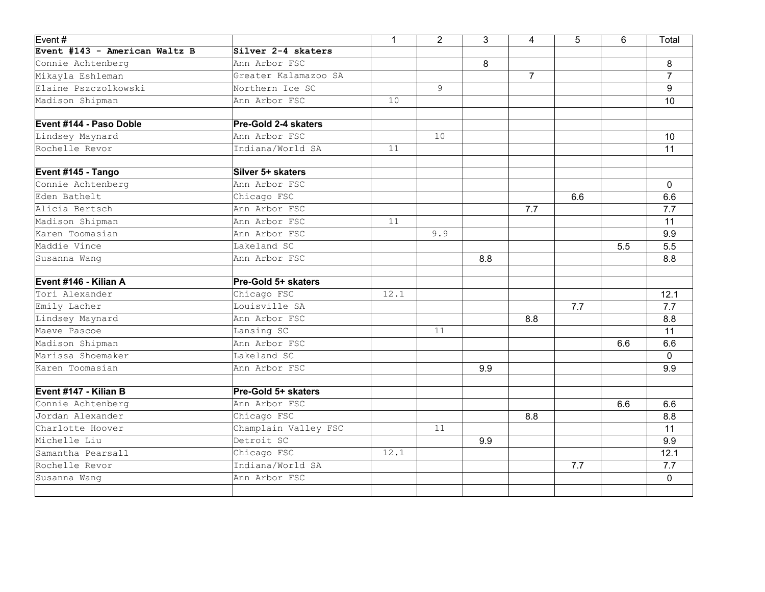| Event#                        |                             | $\mathbf{1}$ | $\overline{2}$ | 3   | 4              | 5   | 6   | Total          |
|-------------------------------|-----------------------------|--------------|----------------|-----|----------------|-----|-----|----------------|
| Event #143 - American Waltz B | Silver 2-4 skaters          |              |                |     |                |     |     |                |
| Connie Achtenberg             | Ann Arbor FSC               |              |                | 8   |                |     |     | 8              |
| Mikayla Eshleman              | Greater Kalamazoo SA        |              |                |     | $\overline{7}$ |     |     | $\overline{7}$ |
| Elaine Pszczolkowski          | Northern Ice SC             |              | 9              |     |                |     |     | 9              |
| Madison Shipman               | Ann Arbor FSC               | 10           |                |     |                |     |     | 10             |
| Event #144 - Paso Doble       | <b>Pre-Gold 2-4 skaters</b> |              |                |     |                |     |     |                |
| Lindsey Maynard               | Ann Arbor FSC               |              | 10             |     |                |     |     | 10             |
| Rochelle Revor                | Indiana/World SA            | 11           |                |     |                |     |     | 11             |
| Event #145 - Tango            | Silver 5+ skaters           |              |                |     |                |     |     |                |
| Connie Achtenberg             | Ann Arbor FSC               |              |                |     |                |     |     | $\mathbf{0}$   |
| Eden Bathelt                  | Chicago FSC                 |              |                |     |                | 6.6 |     | 6.6            |
| Alicia Bertsch                | Ann Arbor FSC               |              |                |     | 7.7            |     |     | 7.7            |
| Madison Shipman               | Ann Arbor FSC               | 11           |                |     |                |     |     | 11             |
| Karen Toomasian               | Ann Arbor FSC               |              | 9.9            |     |                |     |     | 9.9            |
| Maddie Vince                  | Lakeland SC                 |              |                |     |                |     | 5.5 | 5.5            |
| Susanna Wang                  | Ann Arbor FSC               |              |                | 8.8 |                |     |     | 8.8            |
| Event #146 - Kilian A         | Pre-Gold 5+ skaters         |              |                |     |                |     |     |                |
| Tori Alexander                | Chicago FSC                 | 12.1         |                |     |                |     |     | 12.1           |
| Emily Lacher                  | Louisville SA               |              |                |     |                | 7.7 |     | 7.7            |
| Lindsey Maynard               | Ann Arbor FSC               |              |                |     | 8.8            |     |     | 8.8            |
| Maeve Pascoe                  | Lansing SC                  |              | 11             |     |                |     |     | 11             |
| Madison Shipman               | Ann Arbor FSC               |              |                |     |                |     | 6.6 | 6.6            |
| Marissa Shoemaker             | Lakeland SC                 |              |                |     |                |     |     | $\mathbf 0$    |
| Karen Toomasian               | Ann Arbor FSC               |              |                | 9.9 |                |     |     | 9.9            |
| Event #147 - Kilian B         | Pre-Gold 5+ skaters         |              |                |     |                |     |     |                |
| Connie Achtenberg             | Ann Arbor FSC               |              |                |     |                |     | 6.6 | 6.6            |
| Jordan Alexander              | Chicago FSC                 |              |                |     | 8.8            |     |     | 8.8            |
| Charlotte Hoover              | Champlain Valley FSC        |              | 11             |     |                |     |     | 11             |
| Michelle Liu                  | Detroit SC                  |              |                | 9.9 |                |     |     | 9.9            |
| Samantha Pearsall             | Chicago FSC                 | 12.1         |                |     |                |     |     | 12.1           |
| Rochelle Revor                | Indiana/World SA            |              |                |     |                | 7.7 |     | 7.7            |
| Susanna Wang                  | Ann Arbor FSC               |              |                |     |                |     |     | $\mathbf{0}$   |
|                               |                             |              |                |     |                |     |     |                |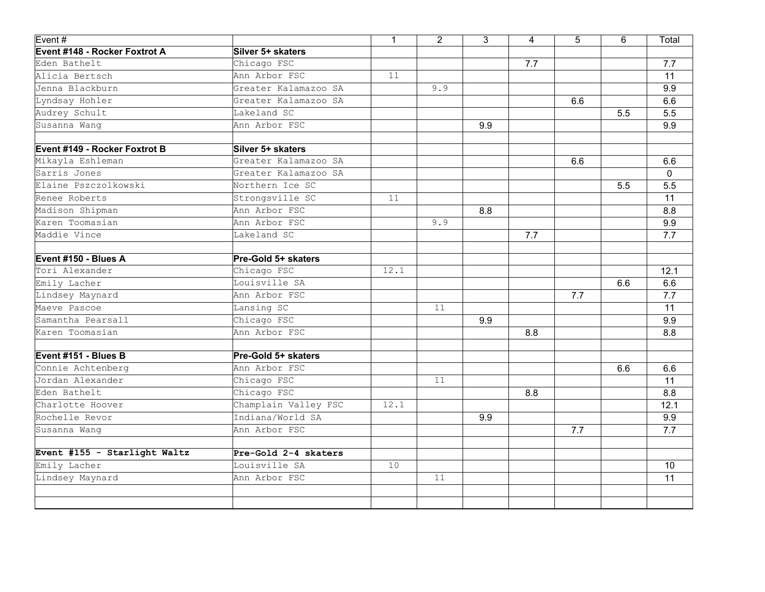| Event#                        |                      | $\mathbf{1}$ | $\overline{2}$ | 3   | 4   | 5   | 6   | Total |
|-------------------------------|----------------------|--------------|----------------|-----|-----|-----|-----|-------|
| Event #148 - Rocker Foxtrot A | Silver 5+ skaters    |              |                |     |     |     |     |       |
| Eden Bathelt                  | Chicago FSC          |              |                |     | 7.7 |     |     | 7.7   |
| Alicia Bertsch                | Ann Arbor FSC        | 11           |                |     |     |     |     | 11    |
| Jenna Blackburn               | Greater Kalamazoo SA |              | 9.9            |     |     |     |     | 9.9   |
| Lyndsay Hohler                | Greater Kalamazoo SA |              |                |     |     | 6.6 |     | 6.6   |
| Audrey Schult                 | Lakeland SC          |              |                |     |     |     | 5.5 | 5.5   |
| Susanna Wang                  | Ann Arbor FSC        |              |                | 9.9 |     |     |     | 9.9   |
| Event #149 - Rocker Foxtrot B | Silver 5+ skaters    |              |                |     |     |     |     |       |
| Mikayla Eshleman              | Greater Kalamazoo SA |              |                |     |     | 6.6 |     | 6.6   |
| Sarris Jones                  | Greater Kalamazoo SA |              |                |     |     |     |     | 0     |
| Elaine Pszczolkowski          | Northern Ice SC      |              |                |     |     |     | 5.5 | 5.5   |
| Renee Roberts                 | Strongsville SC      | 11           |                |     |     |     |     | 11    |
| Madison Shipman               | Ann Arbor FSC        |              |                | 8.8 |     |     |     | 8.8   |
| Karen Toomasian               | Ann Arbor FSC        |              | 9.9            |     |     |     |     | 9.9   |
| Maddie Vince                  | Lakeland SC          |              |                |     | 7.7 |     |     | 7.7   |
| Event #150 - Blues A          | Pre-Gold 5+ skaters  |              |                |     |     |     |     |       |
| Tori Alexander                | Chicago FSC          | 12.1         |                |     |     |     |     | 12.1  |
| Emily Lacher                  | Louisville SA        |              |                |     |     |     | 6.6 | 6.6   |
| Lindsey Maynard               | Ann Arbor FSC        |              |                |     |     | 7.7 |     | 7.7   |
| Maeve Pascoe                  | Lansing SC           |              | 11             |     |     |     |     | 11    |
| Samantha Pearsall             | Chicago FSC          |              |                | 9.9 |     |     |     | 9.9   |
| Karen Toomasian               | Ann Arbor FSC        |              |                |     | 8.8 |     |     | 8.8   |
| Event #151 - Blues B          | Pre-Gold 5+ skaters  |              |                |     |     |     |     |       |
| Connie Achtenberg             | Ann Arbor FSC        |              |                |     |     |     | 6.6 | 6.6   |
| Jordan Alexander              | Chicago FSC          |              | 11             |     |     |     |     | 11    |
| Eden Bathelt                  | Chicago FSC          |              |                |     | 8.8 |     |     | 8.8   |
| Charlotte Hoover              | Champlain Valley FSC | 12.1         |                |     |     |     |     | 12.1  |
| Rochelle Revor                | Indiana/World SA     |              |                | 9.9 |     |     |     | 9.9   |
| Susanna Wang                  | Ann Arbor FSC        |              |                |     |     | 7.7 |     | 7.7   |
| Event #155 - Starlight Waltz  | Pre-Gold 2-4 skaters |              |                |     |     |     |     |       |
| Emily Lacher                  | Louisville SA        | 10           |                |     |     |     |     | 10    |
| Lindsey Maynard               | Ann Arbor FSC        |              | 11             |     |     |     |     | 11    |
|                               |                      |              |                |     |     |     |     |       |